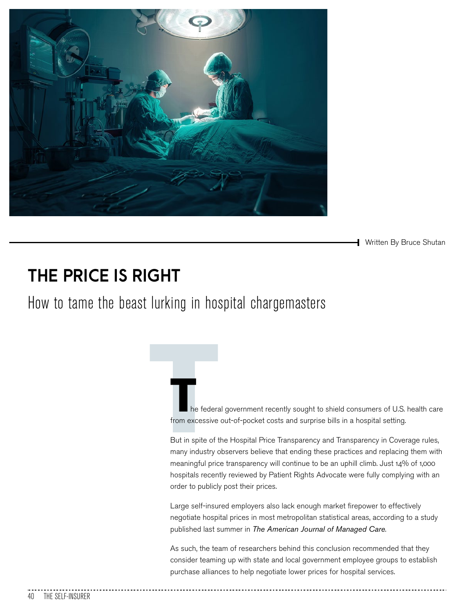

**Written By Bruce Shutan** 

# **THE PRICE IS RIGHT**

How to tame the beast lurking in hospital chargemasters

The federation<br>of the federation<br>But in spite of the many industry of he federal government recently sought to shield consumers of U.S. health care from excessive out-of-pocket costs and surprise bills in a hospital setting.

But in spite of the Hospital Price Transparency and Transparency in Coverage rules, many industry observers believe that ending these practices and replacing them with meaningful price transparency will continue to be an uphill climb. Just 14% of 1,000 hospitals recently reviewed by Patient Rights Advocate were fully complying with an order to publicly post their prices.

Large self-insured employers also lack enough market firepower to effectively negotiate hospital prices in most metropolitan statistical areas, according to a study published last summer in *The American Journal of Managed Care*.

As such, the team of researchers behind this conclusion recommended that they consider teaming up with state and local government employee groups to establish purchase alliances to help negotiate lower prices for hospital services.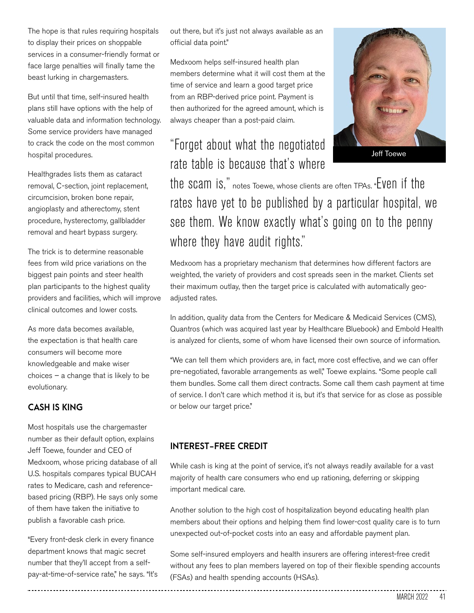The hope is that rules requiring hospitals to display their prices on shoppable services in a consumer-friendly format or face large penalties will finally tame the beast lurking in chargemasters.

But until that time, self-insured health plans still have options with the help of valuable data and information technology. Some service providers have managed to crack the code on the most common hospital procedures.

Healthgrades lists them as cataract removal, C-section, joint replacement, circumcision, broken bone repair, angioplasty and atherectomy, stent procedure, hysterectomy, gallbladder removal and heart bypass surgery.

The trick is to determine reasonable fees from wild price variations on the biggest pain points and steer health plan participants to the highest quality providers and facilities, which will improve clinical outcomes and lower costs.

As more data becomes available, the expectation is that health care consumers will become more knowledgeable and make wiser choices – a change that is likely to be evolutionary.

#### **CASH IS KING**

Most hospitals use the chargemaster number as their default option, explains Jeff Toewe, founder and CEO of Medxoom, whose pricing database of all U.S. hospitals compares typical BUCAH rates to Medicare, cash and referencebased pricing (RBP). He says only some of them have taken the initiative to publish a favorable cash price.

"Every front-desk clerk in every finance department knows that magic secret number that they'll accept from a selfpay-at-time-of-service rate," he says. "It's out there, but it's just not always available as an official data point."

Medxoom helps self-insured health plan members determine what it will cost them at the time of service and learn a good target price from an RBP-derived price point. Payment is then authorized for the agreed amount, which is always cheaper than a post-paid claim.

## "Forget about what the negotiated rate table is because that's where



the scam is," notes Toewe, whose clients are often TPAs. "Even if the rates have yet to be published by a particular hospital, we see them. We know exactly what's going on to the penny where they have audit rights."

Medxoom has a proprietary mechanism that determines how different factors are weighted, the variety of providers and cost spreads seen in the market. Clients set their maximum outlay, then the target price is calculated with automatically geoadjusted rates.

In addition, quality data from the Centers for Medicare & Medicaid Services (CMS), Quantros (which was acquired last year by Healthcare Bluebook) and Embold Health is analyzed for clients, some of whom have licensed their own source of information.

"We can tell them which providers are, in fact, more cost effective, and we can offer pre-negotiated, favorable arrangements as well," Toewe explains. "Some people call them bundles. Some call them direct contracts. Some call them cash payment at time of service. I don't care which method it is, but it's that service for as close as possible or below our target price."

#### **INTEREST-FREE CREDIT**

While cash is king at the point of service, it's not always readily available for a vast majority of health care consumers who end up rationing, deferring or skipping important medical care.

Another solution to the high cost of hospitalization beyond educating health plan members about their options and helping them find lower-cost quality care is to turn unexpected out-of-pocket costs into an easy and affordable payment plan.

Some self-insured employers and health insurers are offering interest-free credit without any fees to plan members layered on top of their flexible spending accounts (FSAs) and health spending accounts (HSAs).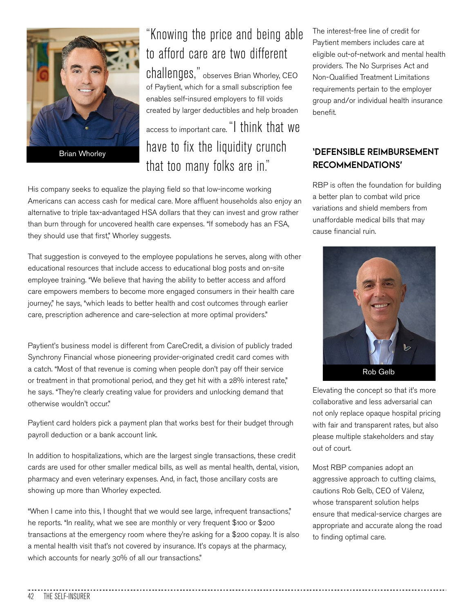

Brian Whorley

# "Knowing the price and being able to afford care are two different

challenges," observes Brian Whorley, CEO of Paytient, which for a small subscription fee enables self-insured employers to fill voids created by larger deductibles and help broaden

access to important care. "I think that we have to fix the liquidity crunch that too many folks are in."

His company seeks to equalize the playing field so that low-income working Americans can access cash for medical care. More affluent households also enjoy an alternative to triple tax-advantaged HSA dollars that they can invest and grow rather than burn through for uncovered health care expenses. "If somebody has an FSA, they should use that first," Whorley suggests.

That suggestion is conveyed to the employee populations he serves, along with other educational resources that include access to educational blog posts and on-site employee training. "We believe that having the ability to better access and afford care empowers members to become more engaged consumers in their health care journey," he says, "which leads to better health and cost outcomes through earlier care, prescription adherence and care-selection at more optimal providers."

Paytient's business model is different from CareCredit, a division of publicly traded Synchrony Financial whose pioneering provider-originated credit card comes with a catch. "Most of that revenue is coming when people don't pay off their service or treatment in that promotional period, and they get hit with a 28% interest rate," he says. "They're clearly creating value for providers and unlocking demand that otherwise wouldn't occur."

Paytient card holders pick a payment plan that works best for their budget through payroll deduction or a bank account link.

In addition to hospitalizations, which are the largest single transactions, these credit cards are used for other smaller medical bills, as well as mental health, dental, vision, pharmacy and even veterinary expenses. And, in fact, those ancillary costs are showing up more than Whorley expected.

"When I came into this, I thought that we would see large, infrequent transactions," he reports. "In reality, what we see are monthly or very frequent \$100 or \$200 transactions at the emergency room where they're asking for a \$200 copay. It is also a mental health visit that's not covered by insurance. It's copays at the pharmacy, which accounts for nearly 30% of all our transactions."

The interest-free line of credit for Paytient members includes care at eligible out-of-network and mental health providers. The No Surprises Act and Non-Qualified Treatment Limitations requirements pertain to the employer group and/or individual health insurance benefit.

### **'DEFENSIBLE REIMBURSEMENT RECOMMENDATIONS'**

RBP is often the foundation for building a better plan to combat wild price variations and shield members from unaffordable medical bills that may cause financial ruin.



Elevating the concept so that it's more collaborative and less adversarial can not only replace opaque hospital pricing with fair and transparent rates, but also please multiple stakeholders and stay out of court.

Most RBP companies adopt an aggressive approach to cutting claims, cautions Rob Gelb, CEO of Vālenz, whose transparent solution helps ensure that medical-service charges are appropriate and accurate along the road to finding optimal care.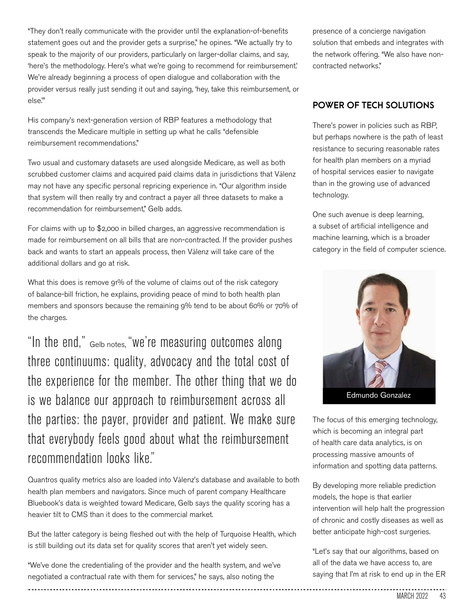"They don't really communicate with the provider until the explanation-of-benefits statement goes out and the provider gets a surprise," he opines. "We actually try to speak to the majority of our providers, particularly on larger-dollar claims, and say, 'here's the methodology. Here's what we're going to recommend for reimbursement.' We're already beginning a process of open dialogue and collaboration with the provider versus really just sending it out and saying, 'hey, take this reimbursement, or else.'"

His company's next-generation version of RBP features a methodology that transcends the Medicare multiple in setting up what he calls "defensible reimbursement recommendations."

Two usual and customary datasets are used alongside Medicare, as well as both scrubbed customer claims and acquired paid claims data in jurisdictions that Vālenz may not have any specific personal repricing experience in. "Our algorithm inside that system will then really try and contract a payer all three datasets to make a recommendation for reimbursement," Gelb adds.

For claims with up to \$2,000 in billed charges, an aggressive recommendation is made for reimbursement on all bills that are non-contracted. If the provider pushes back and wants to start an appeals process, then Vālenz will take care of the additional dollars and go at risk.

What this does is remove 91% of the volume of claims out of the risk category of balance-bill friction, he explains, providing peace of mind to both health plan members and sponsors because the remaining 9% tend to be about 60% or 70% of the charges.

"In the end," Gelb notes, "we're measuring outcomes along three continuums: quality, advocacy and the total cost of the experience for the member. The other thing that we do is we balance our approach to reimbursement across all the parties: the payer, provider and patient. We make sure that everybody feels good about what the reimbursement recommendation looks like."

Quantros quality metrics also are loaded into Vālenz's database and available to both health plan members and navigators. Since much of parent company Healthcare Bluebook's data is weighted toward Medicare, Gelb says the quality scoring has a heavier tilt to CMS than it does to the commercial market.

But the latter category is being fleshed out with the help of Turquoise Health, which is still building out its data set for quality scores that aren't yet widely seen.

"We've done the credentialing of the provider and the health system, and we've negotiated a contractual rate with them for services," he says, also noting the

presence of a concierge navigation solution that embeds and integrates with the network offering. "We also have noncontracted networks."

### **POWER OF TECH SOLUTIONS**

There's power in policies such as RBP, but perhaps nowhere is the path of least resistance to securing reasonable rates for health plan members on a myriad of hospital services easier to navigate than in the growing use of advanced technology.

One such avenue is deep learning, a subset of artificial intelligence and machine learning, which is a broader category in the field of computer science.



The focus of this emerging technology, which is becoming an integral part of health care data analytics, is on processing massive amounts of information and spotting data patterns.

By developing more reliable prediction models, the hope is that earlier intervention will help halt the progression of chronic and costly diseases as well as better anticipate high-cost surgeries.

"Let's say that our algorithms, based on all of the data we have access to, are saying that I'm at risk to end up in the ER